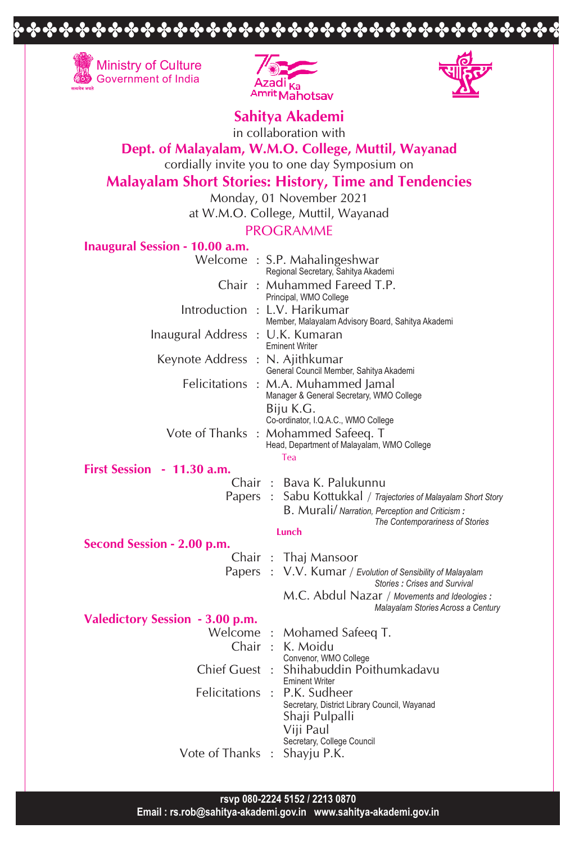



DDDDDDDDDDDDDDDDDDDDDDDDDDDDDDDDDD



**Sahitya Akademi**

in collaboration with

## **Dept. of Malayalam, W.M.O. College, Muttil, Wayanad**

cordially invite you to one day Symposium on

# **Malayalam Short Stories: History, Time and Tendencies**

Monday, 01 November 2021

at W.M.O. College, Muttil, Wayanad

### PROGRAMME

|  | <b>Inaugural Session - 10.00 a.m.</b> |  |  |
|--|---------------------------------------|--|--|
|--|---------------------------------------|--|--|

|                                  | Welcome: S.P. Mahalingeshwar<br>Regional Secretary, Sahitya Akademi                                                            |
|----------------------------------|--------------------------------------------------------------------------------------------------------------------------------|
|                                  | Chair: Muhammed Fareed T.P.<br>Principal, WMO College                                                                          |
| Introduction : L.V. Harikumar    | Member, Malayalam Advisory Board, Sahitya Akademi                                                                              |
| Inaugural Address : U.K. Kumaran | <b>Eminent Writer</b>                                                                                                          |
| Keynote Address : N. Ajithkumar  | General Council Member, Sahitya Akademi                                                                                        |
|                                  | Felicitations : M.A. Muhammed Jamal<br>Manager & General Secretary, WMO College<br>Biju K.G.                                   |
|                                  | Co-ordinator, I.Q.A.C., WMO College<br>Vote of Thanks: Mohammed Safeeq. T<br>Head, Department of Malayalam, WMO College<br>Tea |
| First Session - 11.30 a.m.       |                                                                                                                                |
|                                  | Chair: Bava K. Palukunnu                                                                                                       |
|                                  | Papers : Sabu Kottukkal / Trajectories of Malayalam Short Story                                                                |
|                                  | B. Murali/ Narration, Perception and Criticism:<br>The Contemporariness of Stories                                             |
|                                  | Lunch                                                                                                                          |
| Second Session - 2.00 p.m.       |                                                                                                                                |
|                                  | Chair: Thaj Mansoor                                                                                                            |
|                                  | Papers : V.V. Kumar / Evolution of Sensibility of Malayalam<br>Stories: Crises and Survival                                    |
|                                  | M.C. Abdul Nazar / Movements and Ideologies :<br>Malayalam Stories Across a Century                                            |
| Valedictory Session - 3.00 p.m.  |                                                                                                                                |
|                                  | Welcome: Mohamed Safeeq T.                                                                                                     |
| Chair :                          | K. Moidu<br>Convenor, WMO College                                                                                              |
| Chief Guest:                     | Shihabuddin Poithumkadavu<br><b>Eminent Writer</b>                                                                             |
| Felicitations :                  | P.K. Sudheer<br>Secretary, District Library Council, Wayanad<br>Shaji Pulpalli<br>Viji Paul<br>Secretary, College Council      |
| Vote of Thanks                   | Shayju P.K.                                                                                                                    |